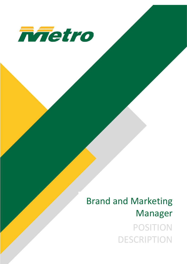

# Brand and Marketing Manager POSITION DESCRIPTION

Brand and Marketing Manager Page | 1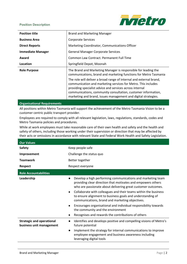**Position Description**



| <b>Position title</b>    | <b>Brand and Marketing Manager</b>                                                                                                                                                                                                                                                                                                  |
|--------------------------|-------------------------------------------------------------------------------------------------------------------------------------------------------------------------------------------------------------------------------------------------------------------------------------------------------------------------------------|
| <b>Business Area</b>     | <b>Corporate Services</b>                                                                                                                                                                                                                                                                                                           |
| <b>Direct Reports</b>    | Marketing Coordinator, Communications Officer                                                                                                                                                                                                                                                                                       |
| <b>Immediate Manager</b> | <b>General Manager Corporate Services</b>                                                                                                                                                                                                                                                                                           |
| Award                    | Common Law Contract. Permanent Full Time                                                                                                                                                                                                                                                                                            |
| Location                 | Springfield Depot, Moonah                                                                                                                                                                                                                                                                                                           |
| <b>Role Purpose</b>      | The Brand and Marketing Manager is responsible for leading the<br>communications, brand and marketing functions for Metro Tasmania                                                                                                                                                                                                  |
|                          | The role will deliver a broad range of internal and external brand,<br>communication and marketing services for Metro. This includes<br>providing specialist advice and services across internal<br>communications, community consultation, customer information,<br>marketing and brand, issues management and digital strategies. |

#### **Organisational Requirements**

All positions within Metro Tasmania will support the achievement of the Metro Tasmania Vision to be a customer centric public transport provider.

Employees are required to comply with all relevant legislation, laws, regulations, standards, codes and Metro Tasmania policies and procedures.

While at work employees must take reasonable care of their own health and safety and the health and safety of others, including those working under their supervision or direction that may be affected by their acts or omissions in accordance with relevant State and Federal Work Health and Safety Legislation.

| <b>Our Values</b>                                            |                                                                                                                                                                                                                                                                                                                                                                                                                                                                                                                                                                                      |
|--------------------------------------------------------------|--------------------------------------------------------------------------------------------------------------------------------------------------------------------------------------------------------------------------------------------------------------------------------------------------------------------------------------------------------------------------------------------------------------------------------------------------------------------------------------------------------------------------------------------------------------------------------------|
| <b>Safety</b>                                                | Keep people safe                                                                                                                                                                                                                                                                                                                                                                                                                                                                                                                                                                     |
| Improvement                                                  | Challenge the status quo                                                                                                                                                                                                                                                                                                                                                                                                                                                                                                                                                             |
| <b>Teamwork</b>                                              | Better together                                                                                                                                                                                                                                                                                                                                                                                                                                                                                                                                                                      |
| <b>Respect</b>                                               | Respect everyone                                                                                                                                                                                                                                                                                                                                                                                                                                                                                                                                                                     |
| <b>Role Accountabilities</b>                                 |                                                                                                                                                                                                                                                                                                                                                                                                                                                                                                                                                                                      |
| Leadership                                                   | Develop a high performing communications and marketing team<br>providing clear direction that motivates and empowers others<br>who are passionate about delivering great customer outcomes.<br>Collaborate with colleagues and their teams within the business<br>$\bullet$<br>to ensure alignment to business goals and understanding of<br>communications, brand and marketing objectives.<br>Encourages organisational and individual responsibility towards<br>$\bullet$<br>the community and the environment<br>Recognises and rewards the contributions of others<br>$\bullet$ |
| <b>Strategic and operational</b><br>business unit management | Identifies and develops positive and compelling visions of Metro's<br>$\bullet$<br>future potential<br>Implement the strategy for internal communications to improve<br>$\bullet$<br>employee engagement and business awareness including<br>leveraging digital tools                                                                                                                                                                                                                                                                                                                |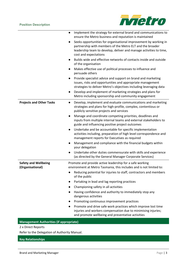

|                                                 | Implement the strategy for external brand and communications to<br>$\bullet$<br>ensure the Metro business and reputation is maintained                                                                                                    |
|-------------------------------------------------|-------------------------------------------------------------------------------------------------------------------------------------------------------------------------------------------------------------------------------------------|
|                                                 | Seeks opportunities for organisational improvement by working in<br>$\bullet$<br>partnership with members of the Metro ELT and the broader<br>leadership team to develop, deliver and manage activities to time,<br>cost and expectations |
|                                                 | Builds wide and effective networks of contacts inside and outside<br>of the organisation                                                                                                                                                  |
|                                                 | Makes effective use of political processes to influence and<br>persuade others                                                                                                                                                            |
|                                                 | Provide specialist advice and support on brand and marketing<br>$\bullet$<br>issues, risks and opportunities and appropriate management<br>strategies to deliver Metro's objectives including leveraging data                             |
|                                                 | Develop and implement of marketing strategies and plans for<br>$\bullet$<br>Metro including sponsorship and community engagement                                                                                                          |
| <b>Projects and Other Tasks</b>                 | Develop, implement and evaluate communications and marketing<br>$\bullet$<br>strategies and plans for high-profile, complex, contentious or<br>publicly sensitive projects and services                                                   |
|                                                 | Manage and coordinate competing priorities, deadlines and<br>$\bullet$<br>inputs from multiple internal teams and external stakeholders to<br>guide and influencing positive project outcomes                                             |
|                                                 | Undertake and be accountable for specific implementation<br>$\bullet$<br>activities including, preparation of high level correspondence and<br>management reports for Executives as required                                              |
|                                                 | Management and compliance with the financial budgets within<br>$\bullet$<br>your delegation                                                                                                                                               |
|                                                 | Undertake other duties commensurate with skills and experience<br>(as directed by the General Manager Corporate Services)                                                                                                                 |
| <b>Safety and Wellbeing</b><br>(Organisational) | Promote and provide active leadership for a safe working<br>environment at Metro Tasmania, this includes and is not limited to:                                                                                                           |
|                                                 | Reducing potential for injuries to staff, contractors and members<br>of the public                                                                                                                                                        |
|                                                 | Partaking in lead and lag reporting practices                                                                                                                                                                                             |
|                                                 | Championing safety in all activities                                                                                                                                                                                                      |
|                                                 | Having confidence and authority to immediately stop any<br>dangerous activities                                                                                                                                                           |
|                                                 | Promoting continuous improvement practices                                                                                                                                                                                                |
|                                                 | Promote and drive safe work practices which improve lost time<br>injuries and workers compensation due to minimising injuries;<br>and promote wellbeing and preventative activities                                                       |

**Management Authorities (if appropriate)**

2 x Direct Reports

Refer to the Delegation of Authority Manual.

# **Key Relationships**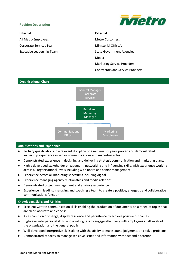### **Position Description**



All Metro Employees Metro Customers

# **Internal External**

Corporate Services Team Ministerial Office/s Executive Leadership Team State Government Agencies Media Marketing Service Providers Contractors and Service Providers



# **Qualifications and Experience**

- Tertiary qualifications in a relevant discipline or a minimum 5 years proven and demonstrated leadership experience in senior communications and marketing roles
- Demonstrated experience in designing and delivering strategic communication and marketing plans.
- Highly developed stakeholder engagement, networking and influencing skills, with experience working across all organisational levels including with Board and senior management
- Experience across all marketing spectrums including digital
- Experience managing agency relationships and media relations
- Demonstrated project management and advisory experience
- Experience in leading, managing and coaching a team to create a positive, energetic and collaborative communications function

#### **Knowledge, Skills and Abilities**

- Excellent written communication skills enabling the production of documents on a range of topics that are clear, accurate and concise
- As a champion of change, display resilience and persistence to achieve positive outcomes
- High-level interpersonal skills, and a willingness to engage effectively with employees at all levels of the organisation and the general public
- Well-developed interpretive skills along with the ability to make sound judgments and solve problems
- Demonstrated capacity to manage sensitive issues and information with tact and discretion

# **Organisational Chart**